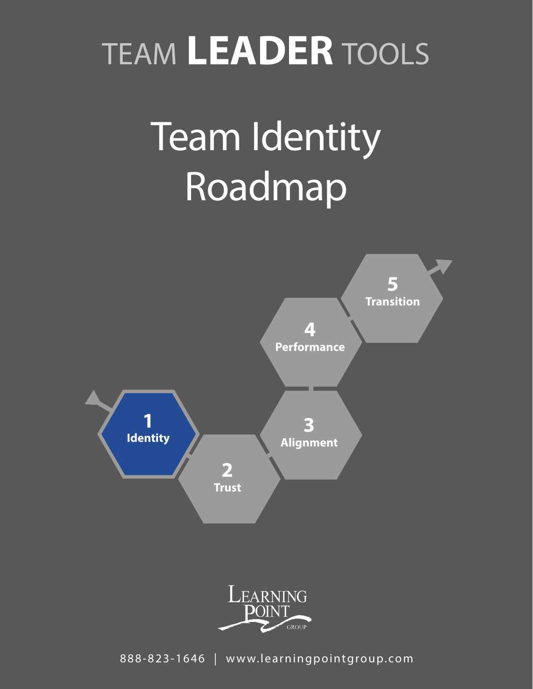# TEAM **LEADER** TOOLS

# Team Identity Roadmap





888-823-1646 | www.learningpointgroup.com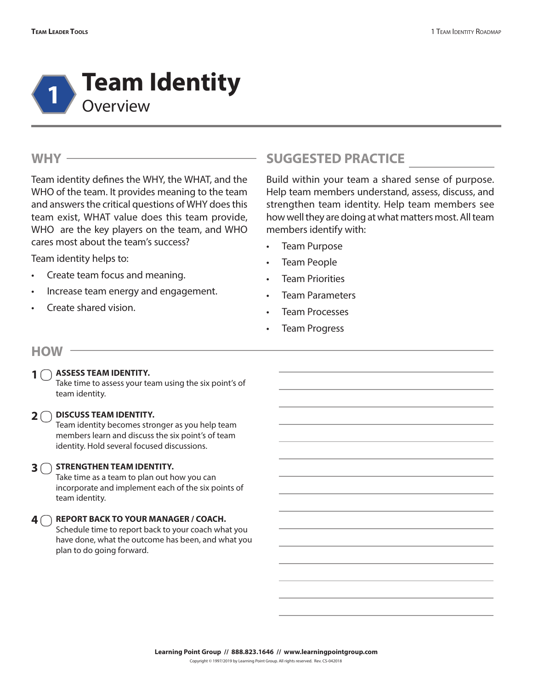

#### **WHY**

Team identity defines the WHY, the WHAT, and the WHO of the team. It provides meaning to the team and answers the critical questions of WHY does this team exist, WHAT value does this team provide, WHO are the key players on the team, and WHO cares most about the team's success?

Team identity helps to:

- Create team focus and meaning.
- Increase team energy and engagement.
- Create shared vision.

## **SUGGESTED PRACTICE**

Build within your team a shared sense of purpose. Help team members understand, assess, discuss, and strengthen team identity. Help team members see how well they are doing at what matters most. All team members identify with:

- Team Purpose
- Team People
- Team Priorities
- Team Parameters
- Team Processes
- Team Progress

#### **HOW**

**1**

#### **ASSESS TEAM IDENTITY.**

Take time to assess your team using the six point's of team identity.

#### **2**  $\bigcirc$  DISCUSS TEAM IDENTITY.

Team identity becomes stronger as you help team members learn and discuss the six point's of team identity. Hold several focused discussions.

### **S**  $\bigcirc$  STRENGTHEN TEAM IDENTITY.

Take time as a team to plan out how you can incorporate and implement each of the six points of team identity.

#### **REPORT BACK TO YOUR MANAGER / COACH. 4**  $\cap$

Schedule time to report back to your coach what you have done, what the outcome has been, and what you plan to do going forward.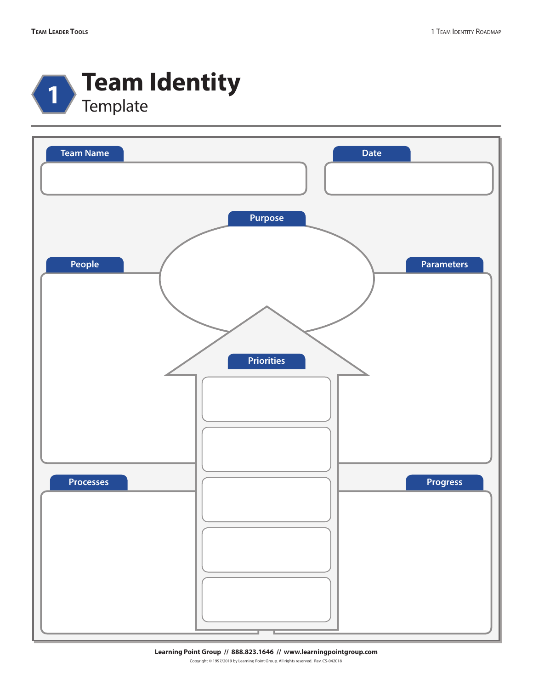

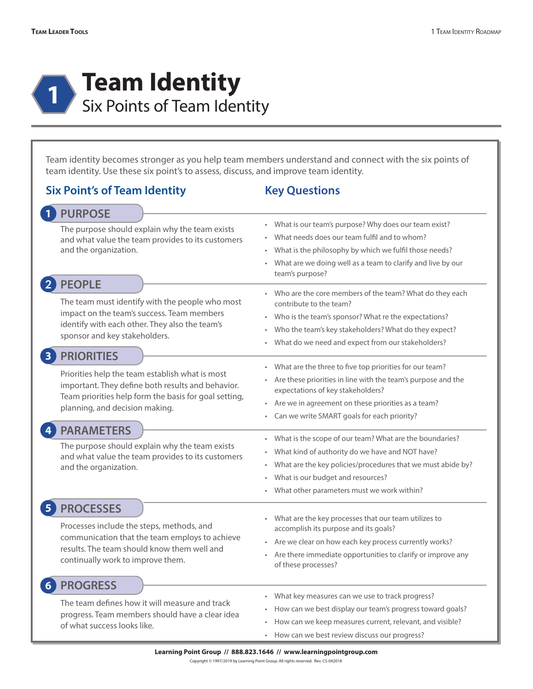

Team identity becomes stronger as you help team members understand and connect with the six points of team identity. Use these six point's to assess, discuss, and improve team identity.

#### **2 PEOPLE** What is our team's purpose? Why does our team exist? What needs does our team fulfil and to whom? What is the philosophy by which we fulfil those needs? • What are we doing well as a team to clarify and live by our team's purpose? **Six Point's of Team Identity Key Questions** • Who are the core members of the team? What do they each contribute to the team? • Who is the team's sponsor? What re the expectations? Who the team's key stakeholders? What do they expect? • What do we need and expect from our stakeholders? The team must identify with the people who most impact on the team's success. Team members identify with each other. They also the team's sponsor and key stakeholders. What are the three to five top priorities for our team? • Are these priorities in line with the team's purpose and the expectations of key stakeholders? Are we in agreement on these priorities as a team? Can we write SMART goals for each priority? What is the scope of our team? What are the boundaries? • What kind of authority do we have and NOT have? • What are the key policies/procedures that we must abide by? What is our budget and resources? What other parameters must we work within? • What are the key processes that our team utilizes to accomplish its purpose and its goals? Are we clear on how each key process currently works? Are there immediate opportunities to clarify or improve any of these processes? What key measures can we use to track progress? • How can we best display our team's progress toward goals? • How can we keep measures current, relevant, and visible? • How can we best review discuss our progress? **1 PURPOSE** The purpose should explain why the team exists and what value the team provides to its customers and the organization. **3 PRIORITIES** Priorities help the team establish what is most important. They define both results and behavior. Team priorities help form the basis for goal setting, planning, and decision making. **4 PARAMETERS** The purpose should explain why the team exists and what value the team provides to its customers and the organization. **5 PROCESSES** Processes include the steps, methods, and communication that the team employs to achieve results. The team should know them well and continually work to improve them. **6 PROGRESS** The team defines how it will measure and track progress. Team members should have a clear idea of what success looks like.

**Learning Point Group // 888.823.1646 // www.learningpointgroup.com**

Copyright © 1997/2019 by Learning Point Group. All rights reserved. Rev. CS-042018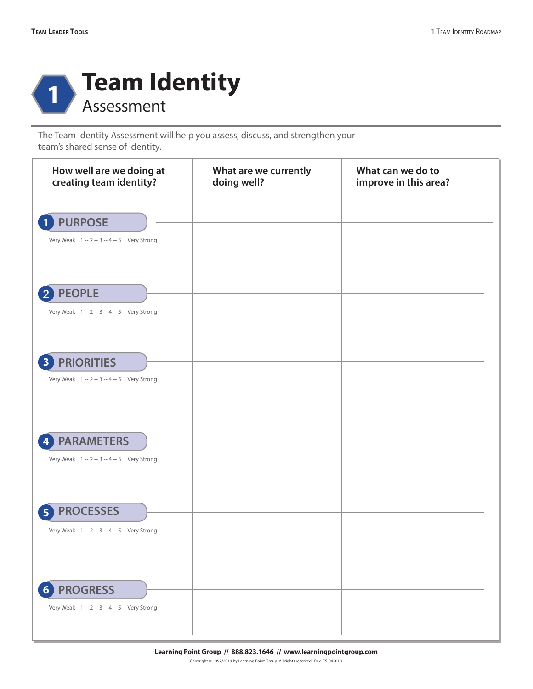

The Team Identity Assessment will help you assess, discuss, and strengthen your team's shared sense of identity.

| How well are we doing at<br>creating team identity?                              | What are we currently<br>doing well? | What can we do to<br>improve in this area? |
|----------------------------------------------------------------------------------|--------------------------------------|--------------------------------------------|
| <b>PURPOSE</b><br>Very Weak 1 -- 2 -- 3 -- 4 -- 5 Very Strong                    |                                      |                                            |
| <b>PEOPLE</b><br>Very Weak 1 -- 2 -- 3 -- 4 -- 5 Very Strong                     |                                      |                                            |
| <b>PRIORITIES</b><br>3<br>Very Weak 1 -- 2 -- 3 -- 4 -- 5 Very Strong            |                                      |                                            |
| <b>PARAMETERS</b><br>4<br>Very Weak 1 -- 2 -- 3 -- 4 -- 5 Very Strong            |                                      |                                            |
| <b>PROCESSES</b><br>5<br>Very Weak 1 -- 2 -- 3 -- 4 -- 5 Very Strong             |                                      |                                            |
| <b>PROGRESS</b><br>6 <sup>1</sup><br>Very Weak 1 -- 2 -- 3 -- 4 -- 5 Very Strong |                                      |                                            |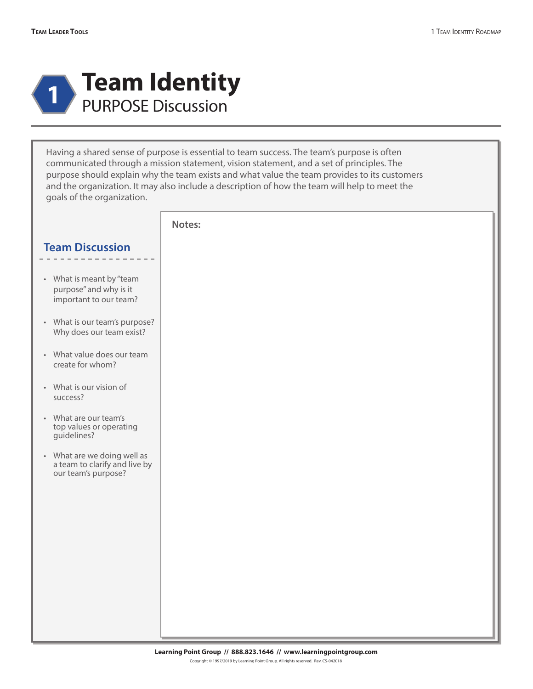

Having a shared sense of purpose is essential to team success. The team's purpose is often communicated through a mission statement, vision statement, and a set of principles. The purpose should explain why the team exists and what value the team provides to its customers and the organization. It may also include a description of how the team will help to meet the goals of the organization.

|                                                                                     | Notes: |
|-------------------------------------------------------------------------------------|--------|
| <b>Team Discussion</b>                                                              |        |
| • What is meant by "team<br>purpose" and why is it<br>important to our team?        |        |
| • What is our team's purpose?<br>Why does our team exist?                           |        |
| • What value does our team<br>create for whom?                                      |        |
| • What is our vision of<br>success?                                                 |        |
| • What are our team's<br>top values or operating<br>guidelines?                     |        |
| • What are we doing well as<br>a team to clarify and live by<br>our team's purpose? |        |
|                                                                                     |        |
|                                                                                     |        |
|                                                                                     |        |
|                                                                                     |        |
|                                                                                     |        |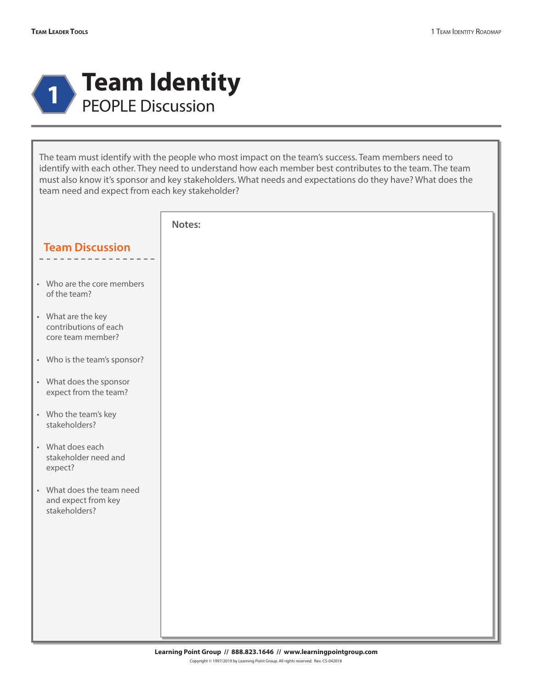

The team must identify with the people who most impact on the team's success. Team members need to identify with each other. They need to understand how each member best contributes to the team. The team must also know it's sponsor and key stakeholders. What needs and expectations do they have? What does the team need and expect from each key stakeholder?

|                                                                   | Notes: |  |
|-------------------------------------------------------------------|--------|--|
| <b>Team Discussion</b>                                            |        |  |
|                                                                   |        |  |
| • Who are the core members<br>of the team?                        |        |  |
| • What are the key<br>contributions of each<br>core team member?  |        |  |
| • Who is the team's sponsor?                                      |        |  |
| • What does the sponsor<br>expect from the team?                  |        |  |
| • Who the team's key<br>stakeholders?                             |        |  |
| • What does each<br>stakeholder need and<br>expect?               |        |  |
| • What does the team need<br>and expect from key<br>stakeholders? |        |  |
|                                                                   |        |  |
|                                                                   |        |  |
|                                                                   |        |  |
|                                                                   |        |  |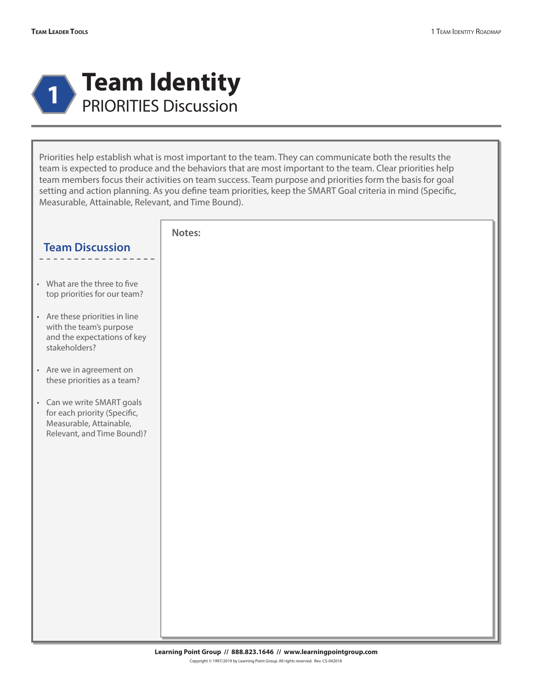

Priorities help establish what is most important to the team. They can communicate both the results the team is expected to produce and the behaviors that are most important to the team. Clear priorities help team members focus their activities on team success. Team purpose and priorities form the basis for goal setting and action planning. As you define team priorities, keep the SMART Goal criteria in mind (Specific, Measurable, Attainable, Relevant, and Time Bound).

|                                                                                                                     | Notes: |  |
|---------------------------------------------------------------------------------------------------------------------|--------|--|
| <b>Team Discussion</b>                                                                                              |        |  |
| • What are the three to five<br>top priorities for our team?                                                        |        |  |
| • Are these priorities in line<br>with the team's purpose<br>and the expectations of key<br>stakeholders?           |        |  |
| • Are we in agreement on<br>these priorities as a team?                                                             |        |  |
| • Can we write SMART goals<br>for each priority (Specific,<br>Measurable, Attainable,<br>Relevant, and Time Bound)? |        |  |
|                                                                                                                     |        |  |
|                                                                                                                     |        |  |
|                                                                                                                     |        |  |
|                                                                                                                     |        |  |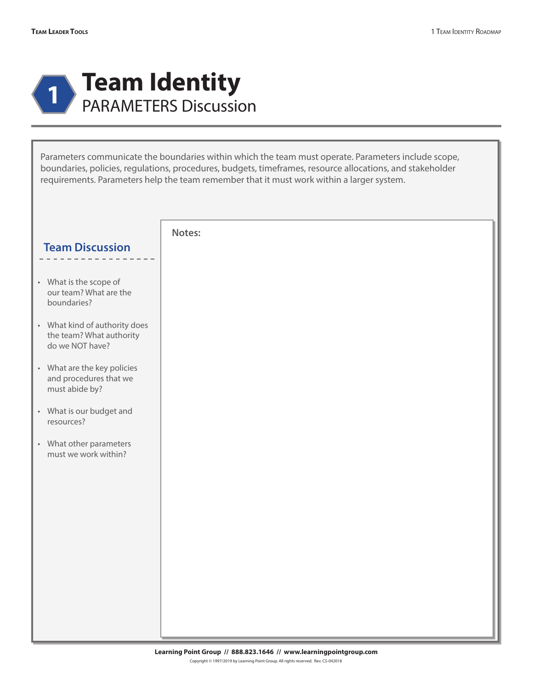

Parameters communicate the boundaries within which the team must operate. Parameters include scope, boundaries, policies, regulations, procedures, budgets, timeframes, resource allocations, and stakeholder requirements. Parameters help the team remember that it must work within a larger system.

|                                                                              | Notes: |
|------------------------------------------------------------------------------|--------|
| <b>Team Discussion</b>                                                       |        |
|                                                                              |        |
| • What is the scope of<br>our team? What are the<br>boundaries?              |        |
| • What kind of authority does<br>the team? What authority<br>do we NOT have? |        |
| • What are the key policies<br>and procedures that we<br>must abide by?      |        |
| • What is our budget and<br>resources?                                       |        |
| • What other parameters<br>must we work within?                              |        |
|                                                                              |        |
|                                                                              |        |
|                                                                              |        |
|                                                                              |        |
|                                                                              |        |
|                                                                              |        |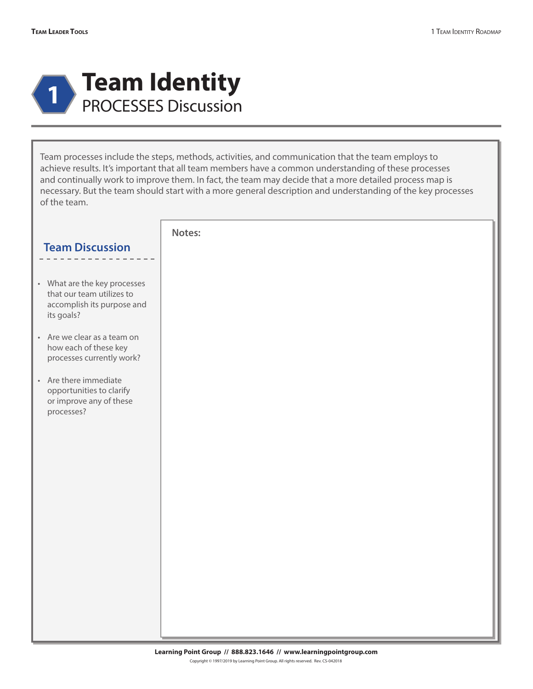

Team processes include the steps, methods, activities, and communication that the team employs to achieve results. It's important that all team members have a common understanding of these processes and continually work to improve them. In fact, the team may decide that a more detailed process map is necessary. But the team should start with a more general description and understanding of the key processes of the team.

|                                                                                                       | Notes: |  |
|-------------------------------------------------------------------------------------------------------|--------|--|
| <b>Team Discussion</b>                                                                                |        |  |
|                                                                                                       |        |  |
| • What are the key processes<br>that our team utilizes to<br>accomplish its purpose and<br>its goals? |        |  |
| • Are we clear as a team on<br>how each of these key<br>processes currently work?                     |        |  |
| • Are there immediate<br>opportunities to clarify<br>or improve any of these<br>processes?            |        |  |
|                                                                                                       |        |  |
|                                                                                                       |        |  |
|                                                                                                       |        |  |
|                                                                                                       |        |  |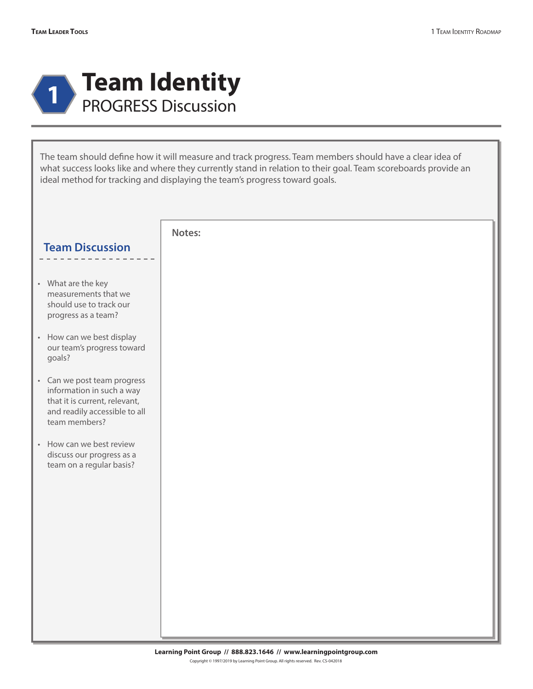

The team should define how it will measure and track progress. Team members should have a clear idea of what success looks like and where they currently stand in relation to their goal. Team scoreboards provide an ideal method for tracking and displaying the team's progress toward goals.

|                                                                                                                                             | Notes: |
|---------------------------------------------------------------------------------------------------------------------------------------------|--------|
| <b>Team Discussion</b>                                                                                                                      |        |
|                                                                                                                                             |        |
| • What are the key<br>measurements that we<br>should use to track our<br>progress as a team?                                                |        |
| • How can we best display<br>our team's progress toward<br>goals?                                                                           |        |
| • Can we post team progress<br>information in such a way<br>that it is current, relevant,<br>and readily accessible to all<br>team members? |        |
| • How can we best review<br>discuss our progress as a<br>team on a regular basis?                                                           |        |
|                                                                                                                                             |        |
|                                                                                                                                             |        |